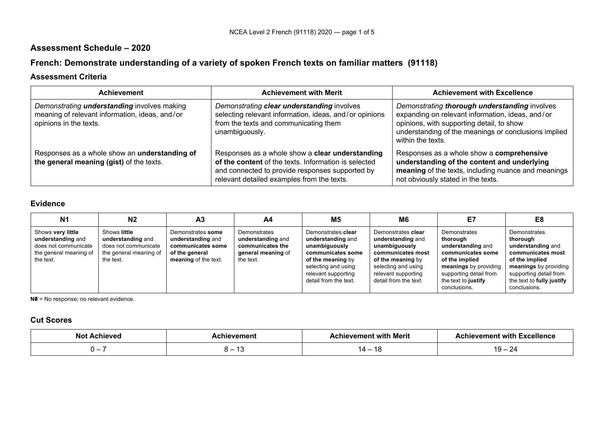## **Assessment Schedule – 2020**

# **French: Demonstrate understanding of a variety of spoken French texts on familiar matters (91118)**

## **Assessment Criteria**

| <b>Achievement</b>                                                                                                             | <b>Achievement with Merit</b>                                                                                                                                                                            | <b>Achievement with Excellence</b>                                                                                                                                                                                          |
|--------------------------------------------------------------------------------------------------------------------------------|----------------------------------------------------------------------------------------------------------------------------------------------------------------------------------------------------------|-----------------------------------------------------------------------------------------------------------------------------------------------------------------------------------------------------------------------------|
| Demonstrating <b>understanding</b> involves making<br>meaning of relevant information, ideas, and/or<br>opinions in the texts. | Demonstrating clear understanding involves<br>selecting relevant information, ideas, and/or opinions<br>from the texts and communicating them<br>unambiguously.                                          | Demonstrating thorough understanding involves<br>expanding on relevant information, ideas, and/or<br>opinions, with supporting detail, to show<br>understanding of the meanings or conclusions implied<br>within the texts. |
| Responses as a whole show an understanding of<br>the general meaning (gist) of the texts.                                      | Responses as a whole show a clear understanding<br>of the content of the texts. Information is selected<br>and connected to provide responses supported by<br>relevant detailed examples from the texts. | Responses as a whole show a comprehensive<br>understanding of the content and underlying<br>meaning of the texts, including nuance and meanings<br>not obviously stated in the texts.                                       |

#### **Evidence**

| N <sub>1</sub>                                                                                        | N2                                                                                               | A <sub>3</sub>                                                                                        | A4                                                                                       | M5                                                                                                                                                                        | M6                                                                                                                                                                        | E7                                                                                                                                                                             | E8                                                                                                                                                                                   |
|-------------------------------------------------------------------------------------------------------|--------------------------------------------------------------------------------------------------|-------------------------------------------------------------------------------------------------------|------------------------------------------------------------------------------------------|---------------------------------------------------------------------------------------------------------------------------------------------------------------------------|---------------------------------------------------------------------------------------------------------------------------------------------------------------------------|--------------------------------------------------------------------------------------------------------------------------------------------------------------------------------|--------------------------------------------------------------------------------------------------------------------------------------------------------------------------------------|
| Shows very little<br>understanding and<br>does not communicate<br>the general meaning of<br>the text. | Shows little<br>understanding and<br>does not communicate<br>the general meaning of<br>the text. | Demonstrates some<br>understanding and<br>communicates some<br>of the general<br>meaning of the text. | Demonstrates<br>understanding and<br>communicates the<br>general meaning of<br>the text. | Demonstrates clear<br>understanding and<br>unambiguously<br>communicates some<br>of the meaning by<br>selecting and using<br>relevant supporting<br>detail from the text. | Demonstrates clear<br>understanding and<br>unambiguously<br>communicates most<br>of the meaning by<br>selecting and using<br>relevant supporting<br>detail from the text. | Demonstrates<br>thorough<br>understanding and<br>communicates some<br>of the implied<br>meanings by providing<br>supporting detail from<br>the text to justify<br>conclusions. | Demonstrates<br>thorough<br>understanding and<br>communicates most<br>of the implied<br>meanings by providing<br>supporting detail from<br>the text to fully justify<br>conclusions. |

**N0** = No response; no relevant evidence.

## **Cut Scores**

| הוח | wern | -----                    |
|-----|------|--------------------------|
|     |      |                          |
|     |      | $\overline{\phantom{0}}$ |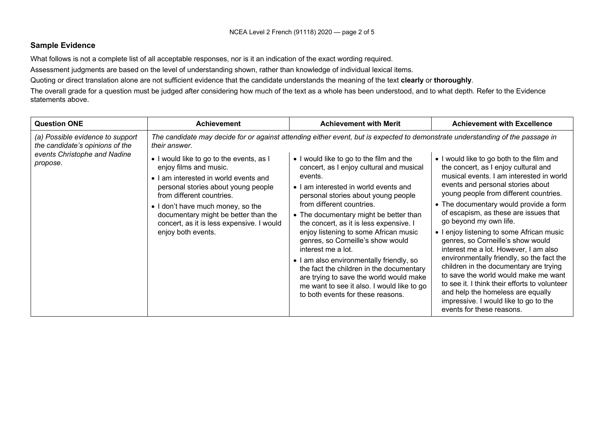#### **Sample Evidence**

What follows is not a complete list of all acceptable responses, nor is it an indication of the exact wording required.

Assessment judgments are based on the level of understanding shown, rather than knowledge of individual lexical items.

Quoting or direct translation alone are not sufficient evidence that the candidate understands the meaning of the text **clearly** or **thoroughly**.

The overall grade for a question must be judged after considering how much of the text as a whole has been understood, and to what depth. Refer to the Evidence statements above.

| <b>Question ONE</b>                                                                                             | <b>Achievement</b>                                                                                                                                                                                                                                                                                                                               | <b>Achievement with Merit</b>                                                                                                                                                                                                                                                                                                                                                                                                                                                                                                                                                       | <b>Achievement with Excellence</b>                                                                                                                                                                                                                                                                                                                                                                                                                                                                |
|-----------------------------------------------------------------------------------------------------------------|--------------------------------------------------------------------------------------------------------------------------------------------------------------------------------------------------------------------------------------------------------------------------------------------------------------------------------------------------|-------------------------------------------------------------------------------------------------------------------------------------------------------------------------------------------------------------------------------------------------------------------------------------------------------------------------------------------------------------------------------------------------------------------------------------------------------------------------------------------------------------------------------------------------------------------------------------|---------------------------------------------------------------------------------------------------------------------------------------------------------------------------------------------------------------------------------------------------------------------------------------------------------------------------------------------------------------------------------------------------------------------------------------------------------------------------------------------------|
| (a) Possible evidence to support<br>the candidate's opinions of the<br>events Christophe and Nadine<br>propose. | their answer.<br>• I would like to go to the events, as I<br>enjoy films and music.<br>• I am interested in world events and<br>personal stories about young people<br>from different countries.<br>• I don't have much money, so the<br>documentary might be better than the<br>concert, as it is less expensive. I would<br>enjoy both events. | The candidate may decide for or against attending either event, but is expected to demonstrate understanding of the passage in<br>• I would like to go to the film and the<br>concert, as I enjoy cultural and musical<br>events.<br>• I am interested in world events and<br>personal stories about young people<br>from different countries.<br>• The documentary might be better than<br>the concert, as it is less expensive. I<br>enjoy listening to some African music<br>genres, so Corneille's show would<br>interest me a lot.<br>• I am also environmentally friendly, so | • I would like to go both to the film and<br>the concert, as I enjoy cultural and<br>musical events. I am interested in world<br>events and personal stories about<br>young people from different countries.<br>• The documentary would provide a form<br>of escapism, as these are issues that<br>go beyond my own life.<br>• I enjoy listening to some African music<br>genres, so Corneille's show would<br>interest me a lot. However, I am also<br>environmentally friendly, so the fact the |
|                                                                                                                 |                                                                                                                                                                                                                                                                                                                                                  | the fact the children in the documentary<br>are trying to save the world would make<br>me want to see it also. I would like to go<br>to both events for these reasons.                                                                                                                                                                                                                                                                                                                                                                                                              | children in the documentary are trying<br>to save the world would make me want<br>to see it. I think their efforts to volunteer<br>and help the homeless are equally<br>impressive. I would like to go to the<br>events for these reasons.                                                                                                                                                                                                                                                        |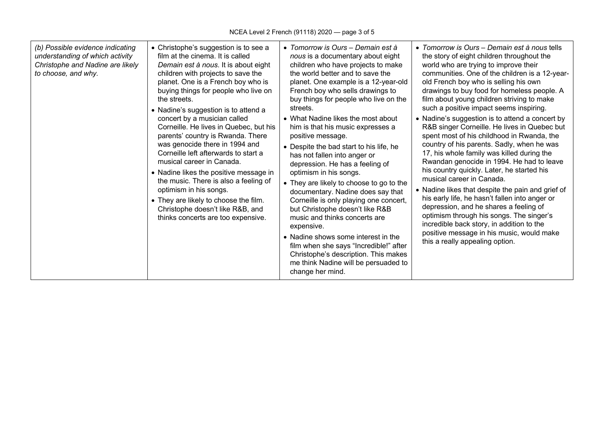| (b) Possible evidence indicating<br>• Christophe's suggestion is to see a<br>understanding of which activity<br>film at the cinema. It is called<br>Christophe and Nadine are likely<br>Demain est à nous. It is about eight<br>to choose, and why.<br>children with projects to save the<br>planet. One is a French boy who is<br>buying things for people who live on<br>the streets.<br>• Nadine's suggestion is to attend a<br>concert by a musician called<br>Corneille. He lives in Quebec, but his<br>parents' country is Rwanda. There<br>was genocide there in 1994 and<br>Corneille left afterwards to start a<br>musical career in Canada.<br>• Nadine likes the positive message in<br>the music. There is also a feeling of<br>optimism in his songs.<br>• They are likely to choose the film.<br>Christophe doesn't like R&B, and<br>thinks concerts are too expensive. | • Tomorrow is Ours – Demain est à<br>nous is a documentary about eight<br>children who have projects to make<br>the world better and to save the<br>planet. One example is a 12-year-old<br>French boy who sells drawings to<br>buy things for people who live on the<br>streets.<br>• What Nadine likes the most about<br>him is that his music expresses a<br>positive message.<br>• Despite the bad start to his life, he<br>has not fallen into anger or<br>depression. He has a feeling of<br>optimism in his songs.<br>• They are likely to choose to go to the<br>documentary. Nadine does say that<br>Corneille is only playing one concert,<br>but Christophe doesn't like R&B<br>music and thinks concerts are<br>expensive.<br>• Nadine shows some interest in the<br>film when she says "Incredible!" after<br>Christophe's description. This makes<br>me think Nadine will be persuaded to<br>change her mind. | • Tomorrow is Ours - Demain est à nous tells<br>the story of eight children throughout the<br>world who are trying to improve their<br>communities. One of the children is a 12-year-<br>old French boy who is selling his own<br>drawings to buy food for homeless people. A<br>film about young children striving to make<br>such a positive impact seems inspiring.<br>• Nadine's suggestion is to attend a concert by<br>R&B singer Corneille. He lives in Quebec but<br>spent most of his childhood in Rwanda, the<br>country of his parents. Sadly, when he was<br>17, his whole family was killed during the<br>Rwandan genocide in 1994. He had to leave<br>his country quickly. Later, he started his<br>musical career in Canada.<br>• Nadine likes that despite the pain and grief of<br>his early life, he hasn't fallen into anger or<br>depression, and he shares a feeling of<br>optimism through his songs. The singer's<br>incredible back story, in addition to the<br>positive message in his music, would make<br>this a really appealing option. |
|---------------------------------------------------------------------------------------------------------------------------------------------------------------------------------------------------------------------------------------------------------------------------------------------------------------------------------------------------------------------------------------------------------------------------------------------------------------------------------------------------------------------------------------------------------------------------------------------------------------------------------------------------------------------------------------------------------------------------------------------------------------------------------------------------------------------------------------------------------------------------------------|-----------------------------------------------------------------------------------------------------------------------------------------------------------------------------------------------------------------------------------------------------------------------------------------------------------------------------------------------------------------------------------------------------------------------------------------------------------------------------------------------------------------------------------------------------------------------------------------------------------------------------------------------------------------------------------------------------------------------------------------------------------------------------------------------------------------------------------------------------------------------------------------------------------------------------|-----------------------------------------------------------------------------------------------------------------------------------------------------------------------------------------------------------------------------------------------------------------------------------------------------------------------------------------------------------------------------------------------------------------------------------------------------------------------------------------------------------------------------------------------------------------------------------------------------------------------------------------------------------------------------------------------------------------------------------------------------------------------------------------------------------------------------------------------------------------------------------------------------------------------------------------------------------------------------------------------------------------------------------------------------------------------|
|---------------------------------------------------------------------------------------------------------------------------------------------------------------------------------------------------------------------------------------------------------------------------------------------------------------------------------------------------------------------------------------------------------------------------------------------------------------------------------------------------------------------------------------------------------------------------------------------------------------------------------------------------------------------------------------------------------------------------------------------------------------------------------------------------------------------------------------------------------------------------------------|-----------------------------------------------------------------------------------------------------------------------------------------------------------------------------------------------------------------------------------------------------------------------------------------------------------------------------------------------------------------------------------------------------------------------------------------------------------------------------------------------------------------------------------------------------------------------------------------------------------------------------------------------------------------------------------------------------------------------------------------------------------------------------------------------------------------------------------------------------------------------------------------------------------------------------|-----------------------------------------------------------------------------------------------------------------------------------------------------------------------------------------------------------------------------------------------------------------------------------------------------------------------------------------------------------------------------------------------------------------------------------------------------------------------------------------------------------------------------------------------------------------------------------------------------------------------------------------------------------------------------------------------------------------------------------------------------------------------------------------------------------------------------------------------------------------------------------------------------------------------------------------------------------------------------------------------------------------------------------------------------------------------|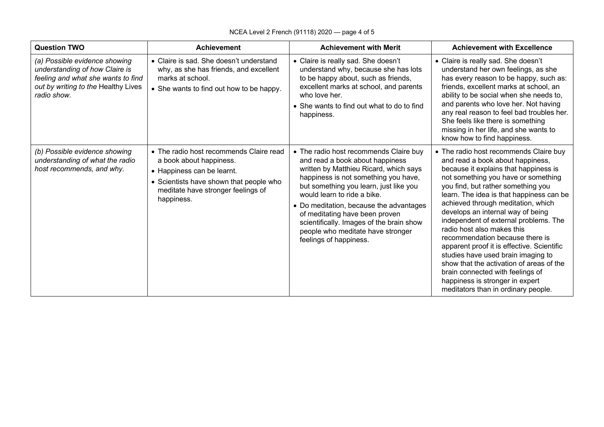| <b>Question TWO</b>                                                                                                                                         | <b>Achievement</b>                                                                                                                                                                              | <b>Achievement with Merit</b>                                                                                                                                                                                                                                                                                                                                                                                                | <b>Achievement with Excellence</b>                                                                                                                                                                                                                                                                                                                                                                                                                                                                                                                                                                                                                                              |
|-------------------------------------------------------------------------------------------------------------------------------------------------------------|-------------------------------------------------------------------------------------------------------------------------------------------------------------------------------------------------|------------------------------------------------------------------------------------------------------------------------------------------------------------------------------------------------------------------------------------------------------------------------------------------------------------------------------------------------------------------------------------------------------------------------------|---------------------------------------------------------------------------------------------------------------------------------------------------------------------------------------------------------------------------------------------------------------------------------------------------------------------------------------------------------------------------------------------------------------------------------------------------------------------------------------------------------------------------------------------------------------------------------------------------------------------------------------------------------------------------------|
| (a) Possible evidence showing<br>understanding of how Claire is<br>feeling and what she wants to find<br>out by writing to the Healthy Lives<br>radio show. | • Claire is sad. She doesn't understand<br>why, as she has friends, and excellent<br>marks at school.<br>• She wants to find out how to be happy.                                               | • Claire is really sad. She doesn't<br>understand why, because she has lots<br>to be happy about, such as friends,<br>excellent marks at school, and parents<br>who love her.<br>• She wants to find out what to do to find<br>happiness.                                                                                                                                                                                    | • Claire is really sad. She doesn't<br>understand her own feelings, as she<br>has every reason to be happy, such as:<br>friends, excellent marks at school, an<br>ability to be social when she needs to,<br>and parents who love her. Not having<br>any real reason to feel bad troubles her.<br>She feels like there is something<br>missing in her life, and she wants to<br>know how to find happiness.                                                                                                                                                                                                                                                                     |
| (b) Possible evidence showing<br>understanding of what the radio<br>host recommends, and why.                                                               | • The radio host recommends Claire read<br>a book about happiness.<br>• Happiness can be learnt.<br>• Scientists have shown that people who<br>meditate have stronger feelings of<br>happiness. | • The radio host recommends Claire buy<br>and read a book about happiness<br>written by Matthieu Ricard, which says<br>happiness is not something you have,<br>but something you learn, just like you<br>would learn to ride a bike.<br>• Do meditation, because the advantages<br>of meditating have been proven<br>scientifically. Images of the brain show<br>people who meditate have stronger<br>feelings of happiness. | • The radio host recommends Claire buy<br>and read a book about happiness,<br>because it explains that happiness is<br>not something you have or something<br>you find, but rather something you<br>learn. The idea is that happiness can be<br>achieved through meditation, which<br>develops an internal way of being<br>independent of external problems. The<br>radio host also makes this<br>recommendation because there is<br>apparent proof it is effective. Scientific<br>studies have used brain imaging to<br>show that the activation of areas of the<br>brain connected with feelings of<br>happiness is stronger in expert<br>meditators than in ordinary people. |

#### NCEA Level 2 French (91118) 2020 — page 4 of 5